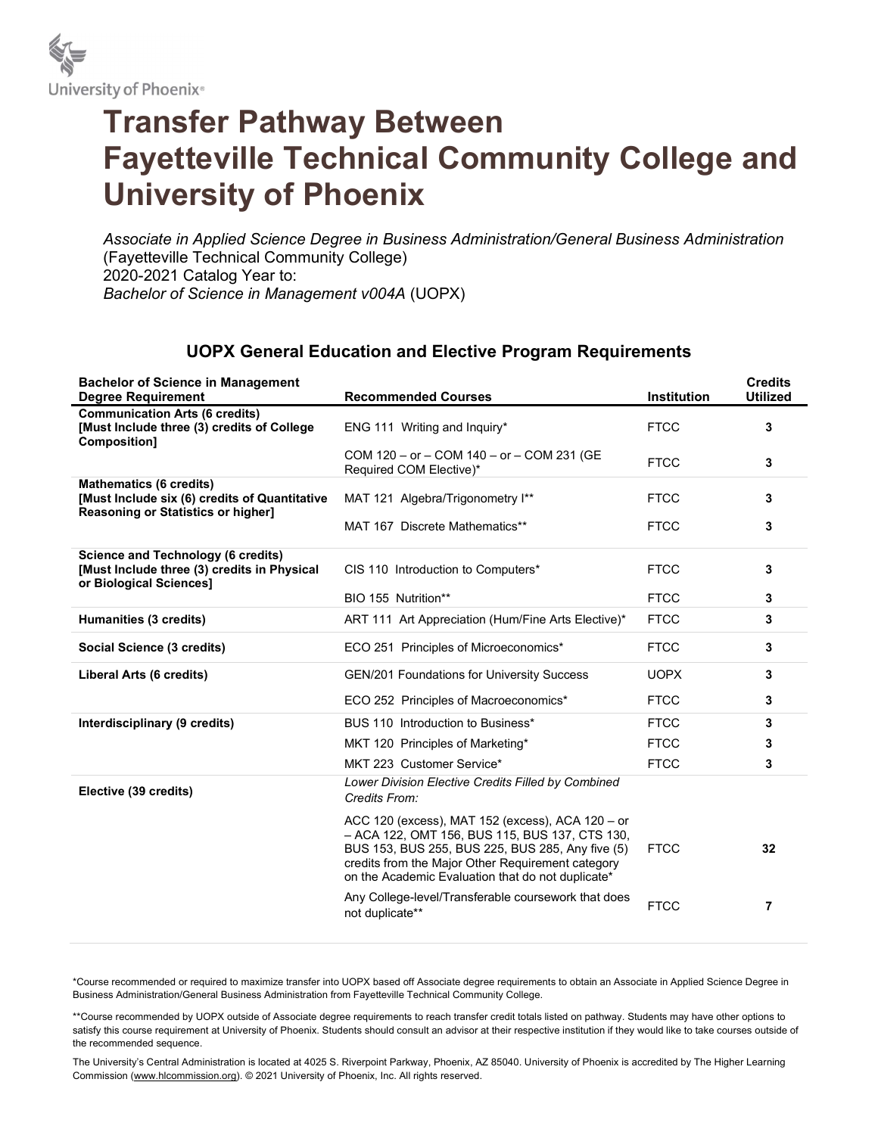

## Transfer Pathway Between Fayetteville Technical Community College and University of Phoenix

Associate in Applied Science Degree in Business Administration/General Business Administration (Fayetteville Technical Community College) 2020-2021 Catalog Year to: Bachelor of Science in Management v004A (UOPX)

## UOPX General Education and Elective Program Requirements

| <b>Bachelor of Science in Management</b><br><b>Degree Requirement</b>                                                        | <b>Recommended Courses</b>                                                                                                                                                                                                                                       | <b>Institution</b> | <b>Credits</b><br><b>Utilized</b> |
|------------------------------------------------------------------------------------------------------------------------------|------------------------------------------------------------------------------------------------------------------------------------------------------------------------------------------------------------------------------------------------------------------|--------------------|-----------------------------------|
| <b>Communication Arts (6 credits)</b><br>[Must Include three (3) credits of College<br><b>Composition1</b>                   | ENG 111 Writing and Inquiry*                                                                                                                                                                                                                                     | <b>FTCC</b>        | 3                                 |
|                                                                                                                              | COM 120 - or - COM 140 - or - COM 231 (GE<br>Required COM Elective)*                                                                                                                                                                                             | <b>FTCC</b>        | 3                                 |
| <b>Mathematics (6 credits)</b><br>[Must Include six (6) credits of Quantitative<br><b>Reasoning or Statistics or higher]</b> | MAT 121 Algebra/Trigonometry I**                                                                                                                                                                                                                                 | <b>FTCC</b>        | 3                                 |
|                                                                                                                              | MAT 167 Discrete Mathematics**                                                                                                                                                                                                                                   | <b>FTCC</b>        | 3                                 |
| <b>Science and Technology (6 credits)</b><br>[Must Include three (3) credits in Physical<br>or Biological Sciences]          | CIS 110 Introduction to Computers*                                                                                                                                                                                                                               | <b>FTCC</b>        | 3                                 |
|                                                                                                                              | BIO 155 Nutrition**                                                                                                                                                                                                                                              | <b>FTCC</b>        | 3                                 |
| Humanities (3 credits)                                                                                                       | ART 111 Art Appreciation (Hum/Fine Arts Elective)*                                                                                                                                                                                                               | <b>FTCC</b>        | 3                                 |
| Social Science (3 credits)                                                                                                   | ECO 251 Principles of Microeconomics*                                                                                                                                                                                                                            | <b>FTCC</b>        | 3                                 |
| Liberal Arts (6 credits)                                                                                                     | <b>GEN/201 Foundations for University Success</b>                                                                                                                                                                                                                | <b>UOPX</b>        | 3                                 |
|                                                                                                                              | ECO 252 Principles of Macroeconomics*                                                                                                                                                                                                                            | <b>FTCC</b>        | 3                                 |
| Interdisciplinary (9 credits)                                                                                                | BUS 110 Introduction to Business*                                                                                                                                                                                                                                | <b>FTCC</b>        | 3                                 |
|                                                                                                                              | MKT 120 Principles of Marketing*                                                                                                                                                                                                                                 | <b>FTCC</b>        | 3                                 |
|                                                                                                                              | MKT 223 Customer Service*                                                                                                                                                                                                                                        | <b>FTCC</b>        | 3                                 |
| Elective (39 credits)                                                                                                        | Lower Division Elective Credits Filled by Combined<br>Credits From:                                                                                                                                                                                              |                    |                                   |
|                                                                                                                              | ACC 120 (excess), MAT 152 (excess), ACA 120 - or<br>- ACA 122, OMT 156, BUS 115, BUS 137, CTS 130,<br>BUS 153, BUS 255, BUS 225, BUS 285, Any five (5)<br>credits from the Major Other Requirement category<br>on the Academic Evaluation that do not duplicate* | <b>FTCC</b>        | 32                                |
|                                                                                                                              | Any College-level/Transferable coursework that does<br>not duplicate**                                                                                                                                                                                           | <b>FTCC</b>        | 7                                 |

\*Course recommended or required to maximize transfer into UOPX based off Associate degree requirements to obtain an Associate in Applied Science Degree in Business Administration/General Business Administration from Fayetteville Technical Community College.

\*\*Course recommended by UOPX outside of Associate degree requirements to reach transfer credit totals listed on pathway. Students may have other options to satisfy this course requirement at University of Phoenix. Students should consult an advisor at their respective institution if they would like to take courses outside of the recommended sequence.

The University's Central Administration is located at 4025 S. Riverpoint Parkway, Phoenix, AZ 85040. University of Phoenix is accredited by The Higher Learning Commission (www.hlcommission.org). © 2021 University of Phoenix, Inc. All rights reserved.